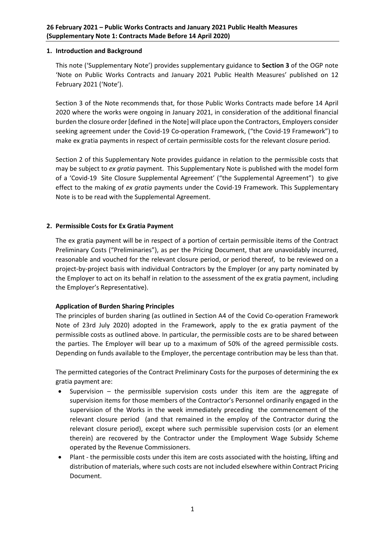## **1. Introduction and Background**

This note ('Supplementary Note') provides supplementary guidance to **Section 3** of the OGP note 'Note on Public Works Contracts and January 2021 Public Health Measures' published on 12 February 2021 ('Note').

Section 3 of the Note recommends that, for those Public Works Contracts made before 14 April 2020 where the works were ongoing in January 2021, in consideration of the additional financial burden the closure order [defined in the Note] will place upon the Contractors, Employers consider seeking agreement under the Covid-19 Co-operation Framework, ("the Covid-19 Framework") to make ex gratia payments in respect of certain permissible costs for the relevant closure period.

Section 2 of this Supplementary Note provides guidance in relation to the permissible costs that may be subject to *ex gratia* payment. This Supplementary Note is published with the model form of a 'Covid-19 Site Closure Supplemental Agreement' ("the Supplemental Agreement") to give effect to the making of *ex gratia* payments under the Covid-19 Framework. This Supplementary Note is to be read with the Supplemental Agreement.

# **2. Permissible Costs for Ex Gratia Payment**

The ex gratia payment will be in respect of a portion of certain permissible items of the Contract Preliminary Costs ("Preliminaries"), as per the Pricing Document, that are unavoidably incurred, reasonable and vouched for the relevant closure period, or period thereof, to be reviewed on a project-by-project basis with individual Contractors by the Employer (or any party nominated by the Employer to act on its behalf in relation to the assessment of the ex gratia payment, including the Employer's Representative).

# **Application of Burden Sharing Principles**

The principles of burden sharing (as outlined in Section A4 of the Covid Co-operation Framework Note of 23rd July 2020) adopted in the Framework, apply to the ex gratia payment of the permissible costs as outlined above. In particular, the permissible costs are to be shared between the parties. The Employer will bear up to a maximum of 50% of the agreed permissible costs. Depending on funds available to the Employer, the percentage contribution may be less than that.

The permitted categories of the Contract Preliminary Costs for the purposes of determining the ex gratia payment are:

- Supervision the permissible supervision costs under this item are the aggregate of supervision items for those members of the Contractor's Personnel ordinarily engaged in the supervision of the Works in the week immediately preceding the commencement of the relevant closure period (and that remained in the employ of the Contractor during the relevant closure period), except where such permissible supervision costs (or an element therein) are recovered by the Contractor under the Employment Wage Subsidy Scheme operated by the Revenue Commissioners.
- Plant the permissible costs under this item are costs associated with the hoisting, lifting and distribution of materials, where such costs are not included elsewhere within Contract Pricing Document.